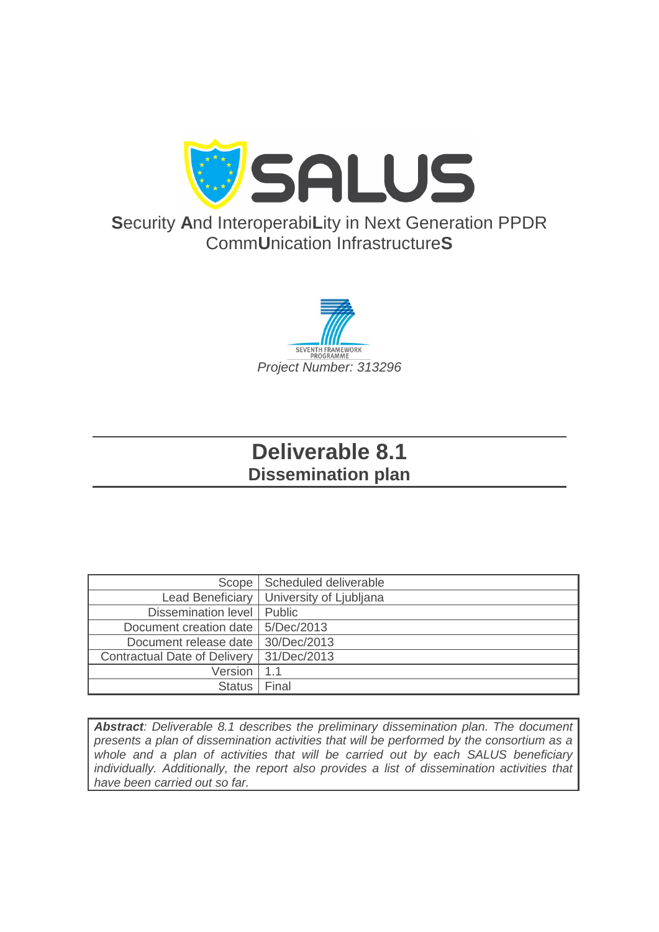

## **S**ecurity **A**nd Interoperabi**L**ity in Next Generation PPDR Comm**U**nication Infrastructure**S**



# **Deliverable 8.1 Dissemination plan**

| Scope                               | Scheduled deliverable   |
|-------------------------------------|-------------------------|
| <b>Lead Beneficiary</b>             | University of Ljubljana |
| Dissemination level   Public        |                         |
| Document creation date              | 5/Dec/2013              |
| Document release date               | 30/Dec/2013             |
| <b>Contractual Date of Delivery</b> | 31/Dec/2013             |
| <b>Version</b>                      | 1.1                     |
| <b>Status</b>                       | Final                   |

*Abstract: Deliverable 8.1 describes the preliminary dissemination plan. The document presents a plan of dissemination activities that will be performed by the consortium as a whole and a plan of activities that will be carried out by each SALUS beneficiary individually. Additionally, the report also provides a list of dissemination activities that have been carried out so far.*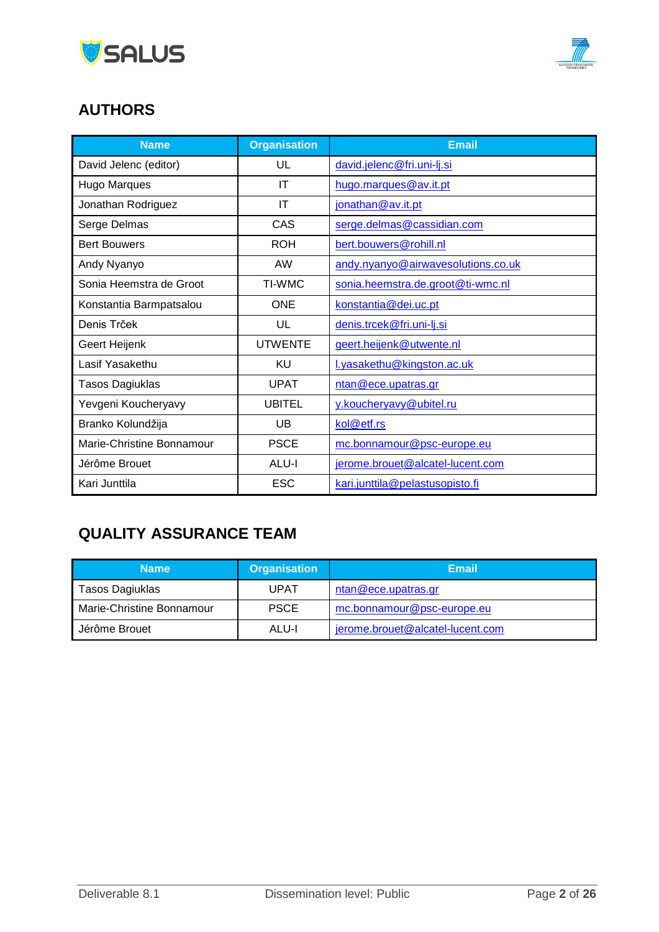



### **AUTHORS**

| <b>Name</b>               | <b>Organisation</b> | <b>Email</b>                       |
|---------------------------|---------------------|------------------------------------|
| David Jelenc (editor)     | UL                  | david.jelenc@fri.uni-lj.si         |
| Hugo Marques              | IT                  | hugo.marques@av.it.pt              |
| Jonathan Rodriguez        | IT                  | jonathan@av.it.pt                  |
| Serge Delmas              | CAS                 | serge.delmas@cassidian.com         |
| <b>Bert Bouwers</b>       | <b>ROH</b>          | bert.bouwers@rohill.nl             |
| Andy Nyanyo               | <b>AW</b>           | andy.nyanyo@airwavesolutions.co.uk |
| Sonia Heemstra de Groot   | <b>TI-WMC</b>       | sonia.heemstra.de.groot@ti-wmc.nl  |
| Konstantia Barmpatsalou   | <b>ONE</b>          | konstantia@dei.uc.pt               |
| Denis Trček               | UL                  | denis.trcek@fri.uni-lj.si          |
| Geert Heijenk             | <b>UTWENTE</b>      | geert.heijenk@utwente.nl           |
| Lasif Yasakethu           | KU                  | l.yasakethu@kingston.ac.uk         |
| Tasos Dagiuklas           | <b>UPAT</b>         | ntan@ece.upatras.gr                |
| Yevgeni Koucheryavy       | <b>UBITEL</b>       | y.koucheryavy@ubitel.ru            |
| Branko Kolundžija         | UB                  | kol@etf.rs                         |
| Marie-Christine Bonnamour | <b>PSCE</b>         | mc.bonnamour@psc-europe.eu         |
| Jérôme Brouet             | ALU-I               | jerome.brouet@alcatel-lucent.com   |
| Kari Junttila             | <b>ESC</b>          | kari.junttila@pelastusopisto.fi    |

### **QUALITY ASSURANCE TEAM**

| <b>Name</b>               | <b>Organisation</b> | <b>Email</b>                     |
|---------------------------|---------------------|----------------------------------|
| Tasos Dagiuklas           | UPAT                | ntan@ece.upatras.gr              |
| Marie-Christine Bonnamour | <b>PSCE</b>         | mc.bonnamour@psc-europe.eu       |
| Jérôme Brouet             | ALU-I               | jerome.brouet@alcatel-lucent.com |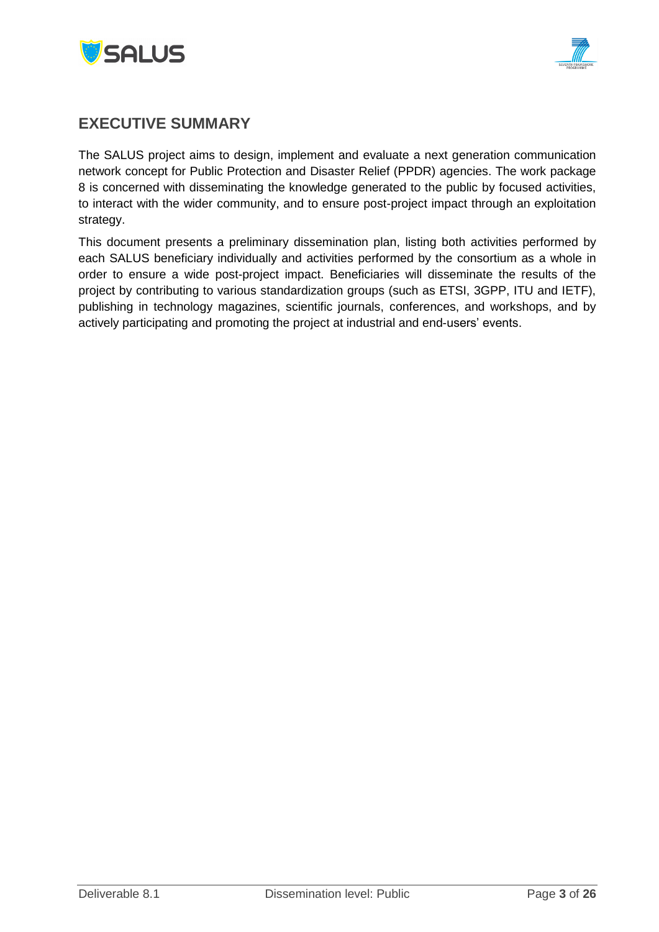



### <span id="page-2-0"></span>**EXECUTIVE SUMMARY**

The SALUS project aims to design, implement and evaluate a next generation communication network concept for Public Protection and Disaster Relief (PPDR) agencies. The work package 8 is concerned with disseminating the knowledge generated to the public by focused activities, to interact with the wider community, and to ensure post-project impact through an exploitation strategy.

This document presents a preliminary dissemination plan, listing both activities performed by each SALUS beneficiary individually and activities performed by the consortium as a whole in order to ensure a wide post-project impact. Beneficiaries will disseminate the results of the project by contributing to various standardization groups (such as ETSI, 3GPP, ITU and IETF), publishing in technology magazines, scientific journals, conferences, and workshops, and by actively participating and promoting the project at industrial and end-users' events.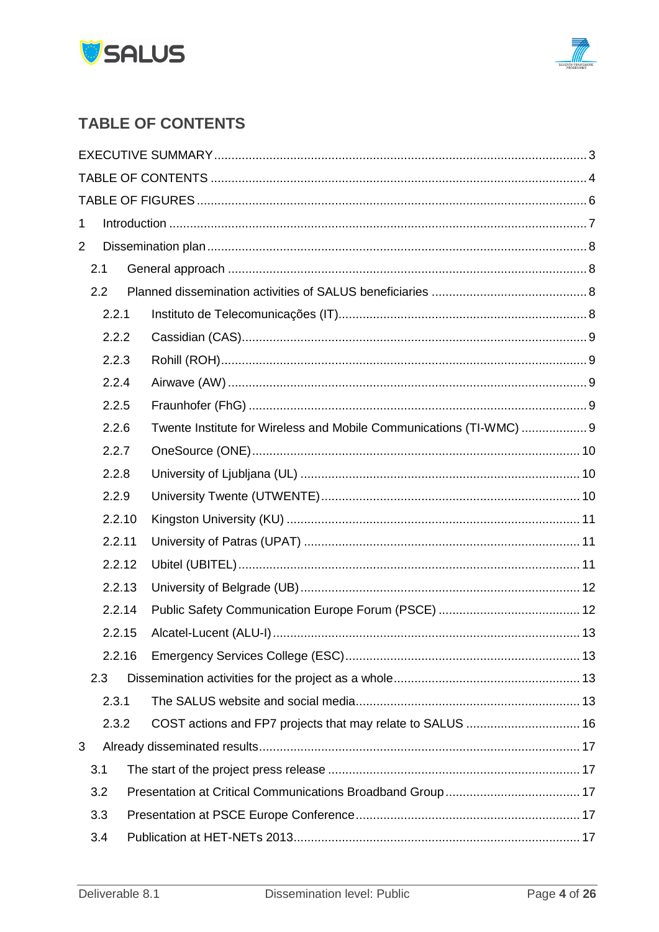



### <span id="page-3-0"></span>**TABLE OF CONTENTS**

| 1              |     |        |                                                                     |  |  |
|----------------|-----|--------|---------------------------------------------------------------------|--|--|
| $\overline{2}$ |     |        |                                                                     |  |  |
|                | 2.1 |        |                                                                     |  |  |
|                | 2.2 |        |                                                                     |  |  |
|                |     | 2.2.1  |                                                                     |  |  |
|                |     | 2.2.2  |                                                                     |  |  |
|                |     | 2.2.3  |                                                                     |  |  |
|                |     | 2.2.4  |                                                                     |  |  |
|                |     | 2.2.5  |                                                                     |  |  |
|                |     | 2.2.6  | Twente Institute for Wireless and Mobile Communications (TI-WMC)  9 |  |  |
|                |     | 2.2.7  |                                                                     |  |  |
|                |     | 2.2.8  |                                                                     |  |  |
|                |     | 2.2.9  |                                                                     |  |  |
|                |     | 2.2.10 |                                                                     |  |  |
|                |     | 2.2.11 |                                                                     |  |  |
|                |     | 2.2.12 |                                                                     |  |  |
|                |     | 2.2.13 |                                                                     |  |  |
|                |     | 2.2.14 |                                                                     |  |  |
|                |     | 2.2.15 |                                                                     |  |  |
|                |     | 2.2.16 |                                                                     |  |  |
|                | 2.3 |        |                                                                     |  |  |
|                |     | 2.3.1  |                                                                     |  |  |
|                |     | 2.3.2  | COST actions and FP7 projects that may relate to SALUS  16          |  |  |
| 3              |     |        |                                                                     |  |  |
|                | 3.1 |        |                                                                     |  |  |
|                | 3.2 |        |                                                                     |  |  |
|                | 3.3 |        |                                                                     |  |  |
|                | 3.4 |        |                                                                     |  |  |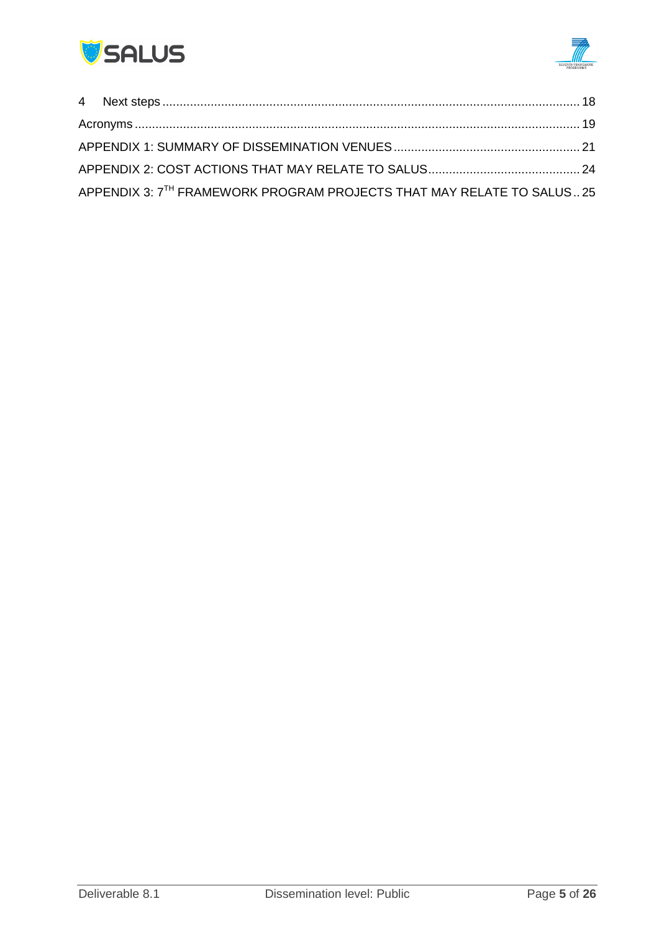



| APPENDIX 3: 7 <sup>TH</sup> FRAMEWORK PROGRAM PROJECTS THAT MAY RELATE TO SALUS25 |  |
|-----------------------------------------------------------------------------------|--|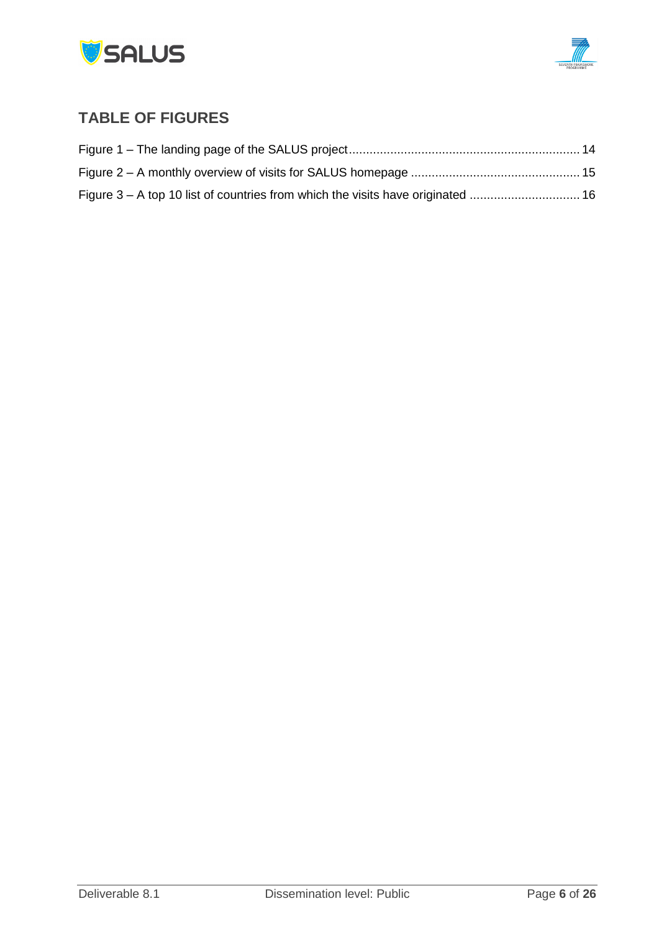



### <span id="page-5-0"></span>**TABLE OF FIGURES**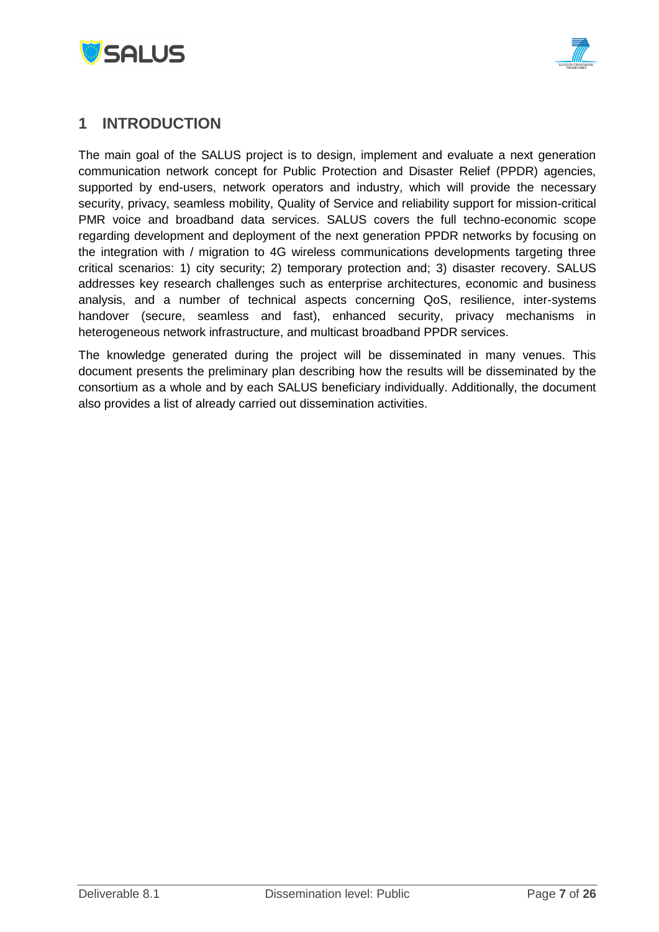



### <span id="page-6-0"></span>**1 INTRODUCTION**

The main goal of the SALUS project is to design, implement and evaluate a next generation communication network concept for Public Protection and Disaster Relief (PPDR) agencies, supported by end-users, network operators and industry, which will provide the necessary security, privacy, seamless mobility, Quality of Service and reliability support for mission-critical PMR voice and broadband data services. SALUS covers the full techno-economic scope regarding development and deployment of the next generation PPDR networks by focusing on the integration with / migration to 4G wireless communications developments targeting three critical scenarios: 1) city security; 2) temporary protection and; 3) disaster recovery. SALUS addresses key research challenges such as enterprise architectures, economic and business analysis, and a number of technical aspects concerning QoS, resilience, inter-systems handover (secure, seamless and fast), enhanced security, privacy mechanisms in heterogeneous network infrastructure, and multicast broadband PPDR services.

The knowledge generated during the project will be disseminated in many venues. This document presents the preliminary plan describing how the results will be disseminated by the consortium as a whole and by each SALUS beneficiary individually. Additionally, the document also provides a list of already carried out dissemination activities.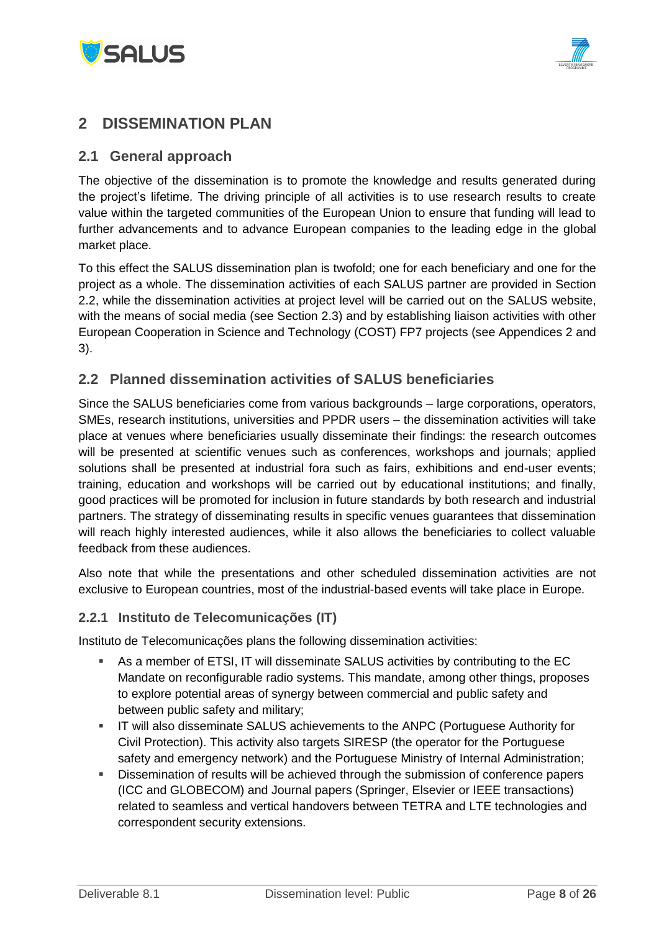



### <span id="page-7-4"></span><span id="page-7-0"></span>**2 DISSEMINATION PLAN**

#### <span id="page-7-1"></span>**2.1 General approach**

The objective of the dissemination is to promote the knowledge and results generated during the project's lifetime. The driving principle of all activities is to use research results to create value within the targeted communities of the European Union to ensure that funding will lead to further advancements and to advance European companies to the leading edge in the global market place.

To this effect the SALUS dissemination plan is twofold; one for each beneficiary and one for the project as a whole. The dissemination activities of each SALUS partner are provided in Section [2.2,](#page-7-2) while the dissemination activities at project level will be carried out on the SALUS website, with the means of social media (see Section [2.3\)](#page-12-2) and by establishing liaison activities with other European Cooperation in Science and Technology (COST) FP7 projects (see Appendices 2 and 3).

#### <span id="page-7-2"></span>**2.2 Planned dissemination activities of SALUS beneficiaries**

Since the SALUS beneficiaries come from various backgrounds – large corporations, operators, SMEs, research institutions, universities and PPDR users – the dissemination activities will take place at venues where beneficiaries usually disseminate their findings: the research outcomes will be presented at scientific venues such as conferences, workshops and journals; applied solutions shall be presented at industrial fora such as fairs, exhibitions and end-user events; training, education and workshops will be carried out by educational institutions; and finally, good practices will be promoted for inclusion in future standards by both research and industrial partners. The strategy of disseminating results in specific venues guarantees that dissemination will reach highly interested audiences, while it also allows the beneficiaries to collect valuable feedback from these audiences.

Also note that while the presentations and other scheduled dissemination activities are not exclusive to European countries, most of the industrial-based events will take place in Europe.

#### <span id="page-7-3"></span>**2.2.1 Instituto de Telecomunicações (IT)**

Instituto de Telecomunicações plans the following dissemination activities:

- As a member of ETSI, IT will disseminate SALUS activities by contributing to the EC Mandate on reconfigurable radio systems. This mandate, among other things, proposes to explore potential areas of synergy between commercial and public safety and between public safety and military;
- IT will also disseminate SALUS achievements to the ANPC (Portuguese Authority for Civil Protection). This activity also targets SIRESP (the operator for the Portuguese safety and emergency network) and the Portuguese Ministry of Internal Administration;
- Dissemination of results will be achieved through the submission of conference papers (ICC and GLOBECOM) and Journal papers (Springer, Elsevier or IEEE transactions) related to seamless and vertical handovers between TETRA and LTE technologies and correspondent security extensions.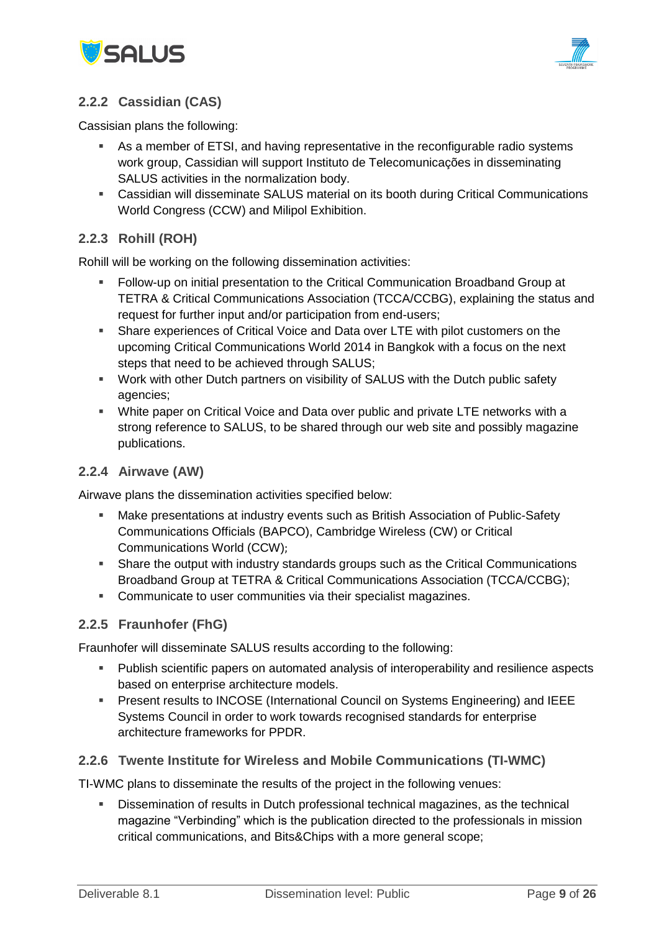



#### <span id="page-8-0"></span>**2.2.2 Cassidian (CAS)**

Cassisian plans the following:

- As a member of ETSI, and having representative in the reconfigurable radio systems work group, Cassidian will support Instituto de Telecomunicações in disseminating SALUS activities in the normalization body.
- Cassidian will disseminate SALUS material on its booth during Critical Communications World Congress (CCW) and Milipol Exhibition.

#### <span id="page-8-1"></span>**2.2.3 Rohill (ROH)**

Rohill will be working on the following dissemination activities:

- Follow-up on initial presentation to the Critical Communication Broadband Group at TETRA & Critical Communications Association (TCCA/CCBG), explaining the status and request for further input and/or participation from end-users;
- Share experiences of Critical Voice and Data over LTE with pilot customers on the upcoming Critical Communications World 2014 in Bangkok with a focus on the next steps that need to be achieved through SALUS;
- Work with other Dutch partners on visibility of SALUS with the Dutch public safety agencies;
- White paper on Critical Voice and Data over public and private LTE networks with a strong reference to SALUS, to be shared through our web site and possibly magazine publications.

#### <span id="page-8-2"></span>**2.2.4 Airwave (AW)**

Airwave plans the dissemination activities specified below:

- Make presentations at industry events such as British Association of Public-Safety Communications Officials (BAPCO), Cambridge Wireless (CW) or Critical Communications World (CCW);
- Share the output with industry standards groups such as the Critical Communications Broadband Group at TETRA & Critical Communications Association (TCCA/CCBG);
- Communicate to user communities via their specialist magazines.

#### <span id="page-8-3"></span>**2.2.5 Fraunhofer (FhG)**

Fraunhofer will disseminate SALUS results according to the following:

- Publish scientific papers on automated analysis of interoperability and resilience aspects based on enterprise architecture models.
- Present results to INCOSE (International Council on Systems Engineering) and IEEE Systems Council in order to work towards recognised standards for enterprise architecture frameworks for PPDR.

#### <span id="page-8-4"></span>**2.2.6 Twente Institute for Wireless and Mobile Communications (TI-WMC)**

TI-WMC plans to disseminate the results of the project in the following venues:

 Dissemination of results in Dutch professional technical magazines, as the technical magazine "Verbinding" which is the publication directed to the professionals in mission critical communications, and Bits&Chips with a more general scope;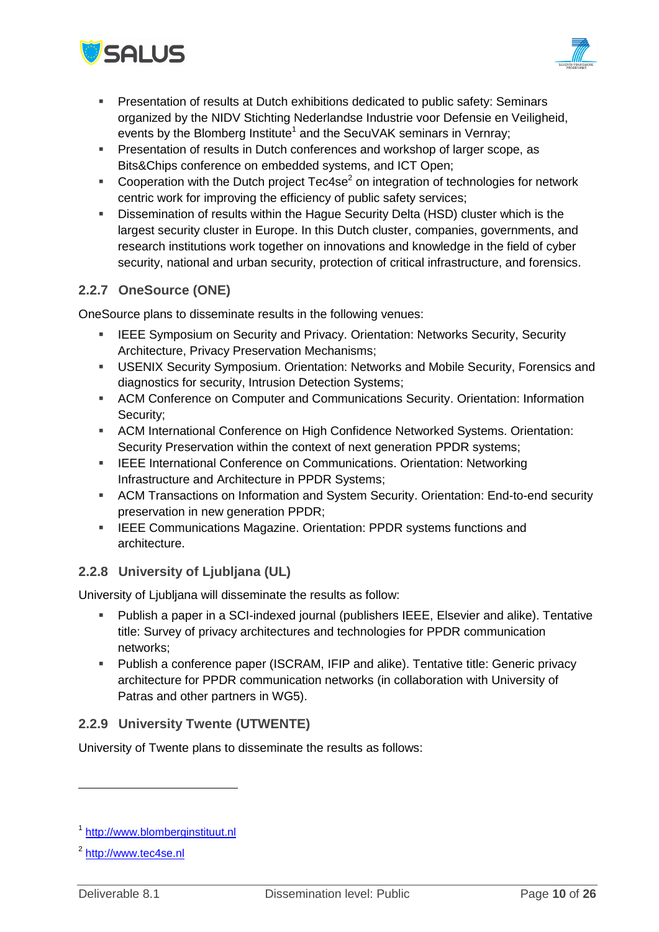



- Presentation of results in Dutch conferences and workshop of larger scope, as Bits&Chips conference on embedded systems, and ICT Open;
- Cooperation with the Dutch project  $Tec4se<sup>2</sup>$  on integration of technologies for network centric work for improving the efficiency of public safety services;
- Dissemination of results within the Hague Security Delta (HSD) cluster which is the largest security cluster in Europe. In this Dutch cluster, companies, governments, and research institutions work together on innovations and knowledge in the field of cyber security, national and urban security, protection of critical infrastructure, and forensics.

#### <span id="page-9-0"></span>**2.2.7 OneSource (ONE)**

OneSource plans to disseminate results in the following venues:

- IEEE Symposium on Security and Privacy. Orientation: Networks Security, Security Architecture, Privacy Preservation Mechanisms;
- USENIX Security Symposium. Orientation: Networks and Mobile Security, Forensics and diagnostics for security, Intrusion Detection Systems;
- ACM Conference on Computer and Communications Security. Orientation: Information Security;
- ACM International Conference on High Confidence Networked Systems. Orientation: Security Preservation within the context of next generation PPDR systems;
- IEEE International Conference on Communications. Orientation: Networking Infrastructure and Architecture in PPDR Systems;
- ACM Transactions on Information and System Security. Orientation: End-to-end security preservation in new generation PPDR;
- **IEEE Communications Magazine. Orientation: PPDR systems functions and** architecture.

#### <span id="page-9-1"></span>**2.2.8 University of Ljubljana (UL)**

University of Ljubljana will disseminate the results as follow:

- Publish a paper in a SCI-indexed journal (publishers IEEE, Elsevier and alike). Tentative title: Survey of privacy architectures and technologies for PPDR communication networks;
- Publish a conference paper (ISCRAM, IFIP and alike). Tentative title: Generic privacy architecture for PPDR communication networks (in collaboration with University of Patras and other partners in WG5).

#### <span id="page-9-2"></span>**2.2.9 University Twente (UTWENTE)**

University of Twente plans to disseminate the results as follows:

<sup>&</sup>lt;sup>1</sup> [http://www.blomberginstituut.nl](http://www.blomberginstituut.nl/)

<sup>&</sup>lt;sup>2</sup> [http://www.tec4se.nl](http://www.tec4se.nl/)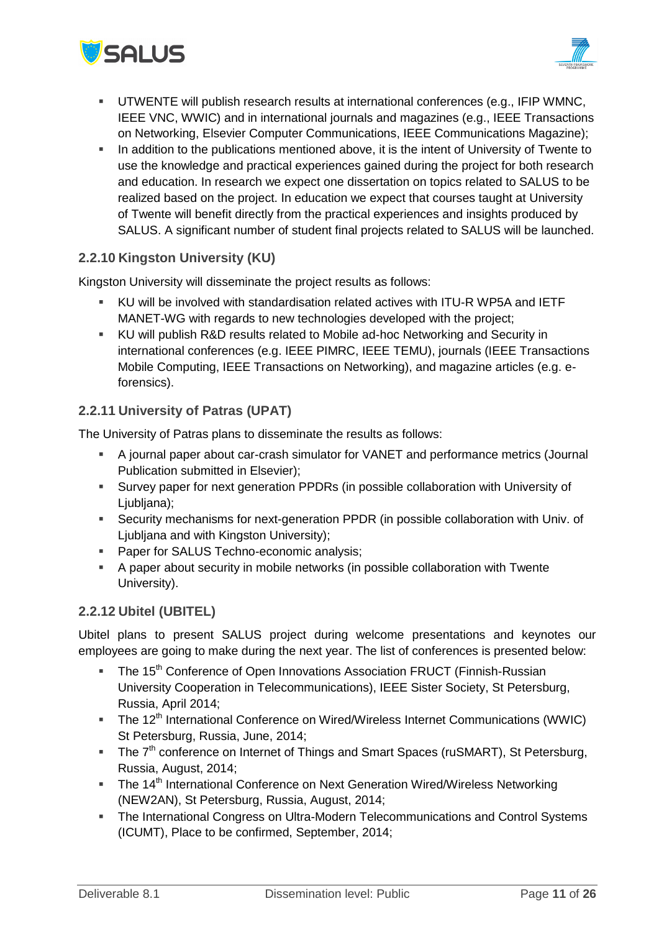



- UTWENTE will publish research results at international conferences (e.g., IFIP WMNC, IEEE VNC, WWIC) and in international journals and magazines (e.g., IEEE Transactions on Networking, Elsevier Computer Communications, IEEE Communications Magazine);
- In addition to the publications mentioned above, it is the intent of University of Twente to use the knowledge and practical experiences gained during the project for both research and education. In research we expect one dissertation on topics related to SALUS to be realized based on the project. In education we expect that courses taught at University of Twente will benefit directly from the practical experiences and insights produced by SALUS. A significant number of student final projects related to SALUS will be launched.

#### <span id="page-10-0"></span>**2.2.10 Kingston University (KU)**

Kingston University will disseminate the project results as follows:

- KU will be involved with standardisation related actives with ITU-R WP5A and IETF MANET-WG with regards to new technologies developed with the project;
- KU will publish R&D results related to Mobile ad-hoc Networking and Security in international conferences (e.g. IEEE PIMRC, IEEE TEMU), journals (IEEE Transactions Mobile Computing, IEEE Transactions on Networking), and magazine articles (e.g. eforensics).

#### <span id="page-10-1"></span>**2.2.11 University of Patras (UPAT)**

The University of Patras plans to disseminate the results as follows:

- A journal paper about car-crash simulator for VANET and performance metrics (Journal Publication submitted in Elsevier);
- Survey paper for next generation PPDRs (in possible collaboration with University of Ljubljana);
- Security mechanisms for next-generation PPDR (in possible collaboration with Univ. of Ljubljana and with Kingston University);
- **Paper for SALUS Techno-economic analysis;**
- A paper about security in mobile networks (in possible collaboration with Twente University).

#### <span id="page-10-2"></span>**2.2.12 Ubitel (UBITEL)**

Ubitel plans to present SALUS project during welcome presentations and keynotes our employees are going to make during the next year. The list of conferences is presented below:

- The 15<sup>th</sup> Conference of Open Innovations Association FRUCT (Finnish-Russian University Cooperation in Telecommunications), IEEE Sister Society, St Petersburg, Russia, April 2014;
- The 12<sup>th</sup> International Conference on Wired/Wireless Internet Communications (WWIC) St Petersburg, Russia, June, 2014;
- The  $7<sup>th</sup>$  conference on Internet of Things and Smart Spaces (ruSMART), St Petersburg, Russia, August, 2014;
- The 14<sup>th</sup> International Conference on Next Generation Wired/Wireless Networking (NEW2AN), St Petersburg, Russia, August, 2014;
- The International Congress on Ultra-Modern Telecommunications and Control Systems (ICUMT), Place to be confirmed, September, 2014;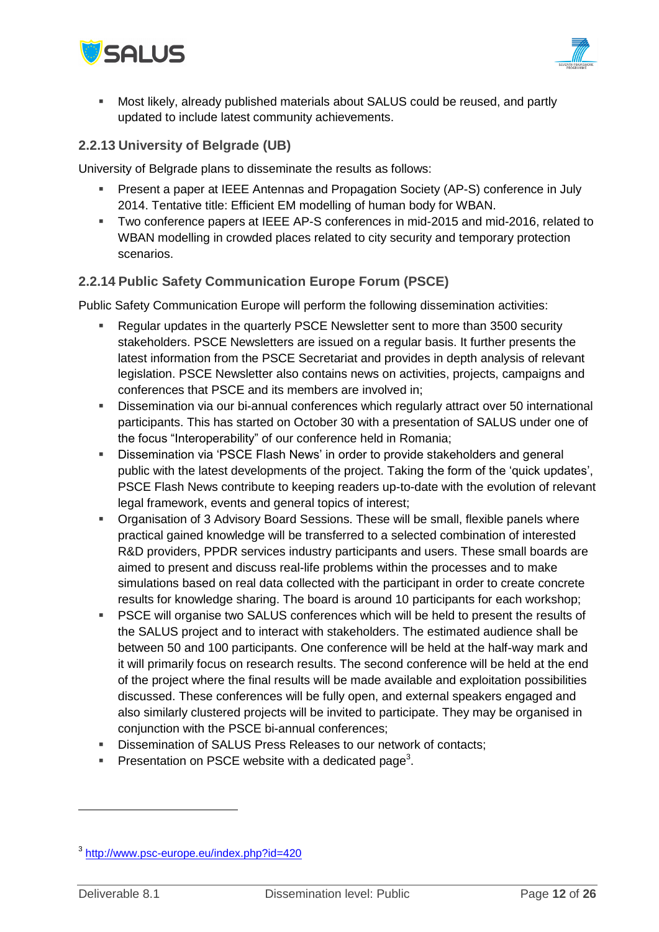



 Most likely, already published materials about SALUS could be reused, and partly updated to include latest community achievements.

#### <span id="page-11-0"></span>**2.2.13 University of Belgrade (UB)**

University of Belgrade plans to disseminate the results as follows:

- Present a paper at IEEE Antennas and Propagation Society (AP-S) conference in July 2014. Tentative title: Efficient EM modelling of human body for WBAN.
- Two conference papers at IEEE AP-S conferences in mid-2015 and mid-2016, related to WBAN modelling in crowded places related to city security and temporary protection scenarios.

#### <span id="page-11-1"></span>**2.2.14 Public Safety Communication Europe Forum (PSCE)**

Public Safety Communication Europe will perform the following dissemination activities:

- Regular updates in the quarterly PSCE Newsletter sent to more than 3500 security stakeholders. PSCE Newsletters are issued on a regular basis. It further presents the latest information from the PSCE Secretariat and provides in depth analysis of relevant legislation. PSCE Newsletter also contains news on activities, projects, campaigns and conferences that PSCE and its members are involved in;
- Dissemination via our bi-annual conferences which regularly attract over 50 international participants. This has started on October 30 with a presentation of SALUS under one of the focus "Interoperability" of our conference held in Romania;
- Dissemination via 'PSCE Flash News' in order to provide stakeholders and general public with the latest developments of the project. Taking the form of the 'quick updates', PSCE Flash News contribute to keeping readers up-to-date with the evolution of relevant legal framework, events and general topics of interest;
- Organisation of 3 Advisory Board Sessions. These will be small, flexible panels where practical gained knowledge will be transferred to a selected combination of interested R&D providers, PPDR services industry participants and users. These small boards are aimed to present and discuss real-life problems within the processes and to make simulations based on real data collected with the participant in order to create concrete results for knowledge sharing. The board is around 10 participants for each workshop;
- PSCE will organise two SALUS conferences which will be held to present the results of the SALUS project and to interact with stakeholders. The estimated audience shall be between 50 and 100 participants. One conference will be held at the half-way mark and it will primarily focus on research results. The second conference will be held at the end of the project where the final results will be made available and exploitation possibilities discussed. These conferences will be fully open, and external speakers engaged and also similarly clustered projects will be invited to participate. They may be organised in conjunction with the PSCE bi-annual conferences;
- Dissemination of SALUS Press Releases to our network of contacts;
- Presentation on PSCE website with a dedicated page<sup>3</sup>.

 $\overline{a}$ 

<sup>&</sup>lt;sup>3</sup> <http://www.psc-europe.eu/index.php?id=420>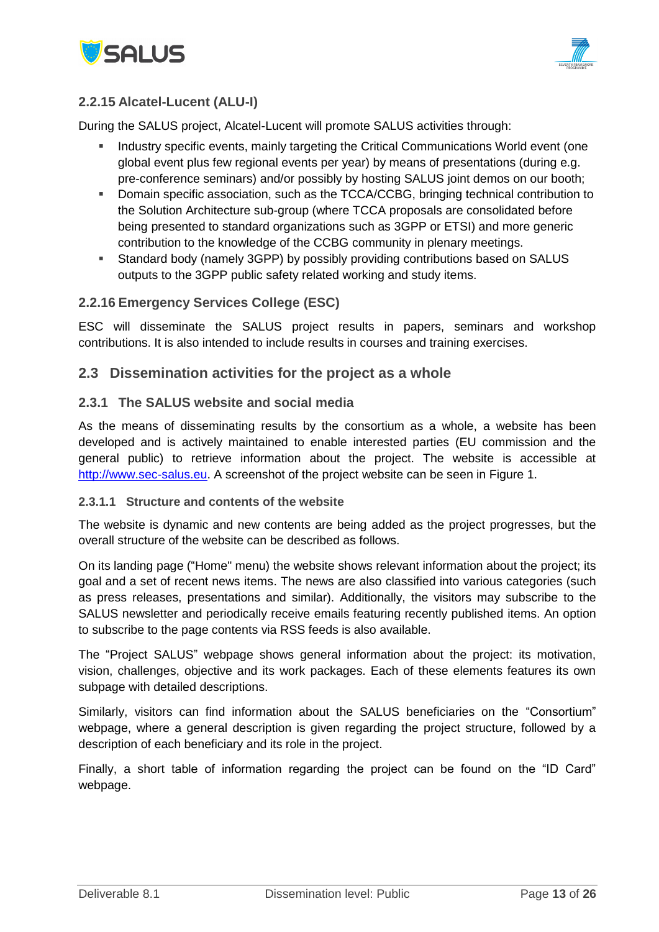



#### <span id="page-12-0"></span>**2.2.15 Alcatel-Lucent (ALU-I)**

During the SALUS project, Alcatel-Lucent will promote SALUS activities through:

- Industry specific events, mainly targeting the Critical Communications World event (one global event plus few regional events per year) by means of presentations (during e.g. pre-conference seminars) and/or possibly by hosting SALUS joint demos on our booth;
- Domain specific association, such as the TCCA/CCBG, bringing technical contribution to the Solution Architecture sub-group (where TCCA proposals are consolidated before being presented to standard organizations such as 3GPP or ETSI) and more generic contribution to the knowledge of the CCBG community in plenary meetings.
- Standard body (namely 3GPP) by possibly providing contributions based on SALUS outputs to the 3GPP public safety related working and study items.

#### <span id="page-12-1"></span>**2.2.16 Emergency Services College (ESC)**

ESC will disseminate the SALUS project results in papers, seminars and workshop contributions. It is also intended to include results in courses and training exercises.

#### <span id="page-12-2"></span>**2.3 Dissemination activities for the project as a whole**

#### <span id="page-12-3"></span>**2.3.1 The SALUS website and social media**

As the means of disseminating results by the consortium as a whole, a website has been developed and is actively maintained to enable interested parties (EU commission and the general public) to retrieve information about the project. The website is accessible at [http://www.sec-salus.eu.](http://www.sec-salus.eu/) A screenshot of the project website can be seen in [Figure 1.](#page-13-0)

#### **2.3.1.1 Structure and contents of the website**

The website is dynamic and new contents are being added as the project progresses, but the overall structure of the website can be described as follows.

On its landing page ("Home" menu) the website shows relevant information about the project; its goal and a set of recent news items. The news are also classified into various categories (such as press releases, presentations and similar). Additionally, the visitors may subscribe to the SALUS newsletter and periodically receive emails featuring recently published items. An option to subscribe to the page contents via RSS feeds is also available.

The "Project SALUS" webpage shows general information about the project: its motivation, vision, challenges, objective and its work packages. Each of these elements features its own subpage with detailed descriptions.

Similarly, visitors can find information about the SALUS beneficiaries on the "Consortium" webpage, where a general description is given regarding the project structure, followed by a description of each beneficiary and its role in the project.

Finally, a short table of information regarding the project can be found on the "ID Card" webpage.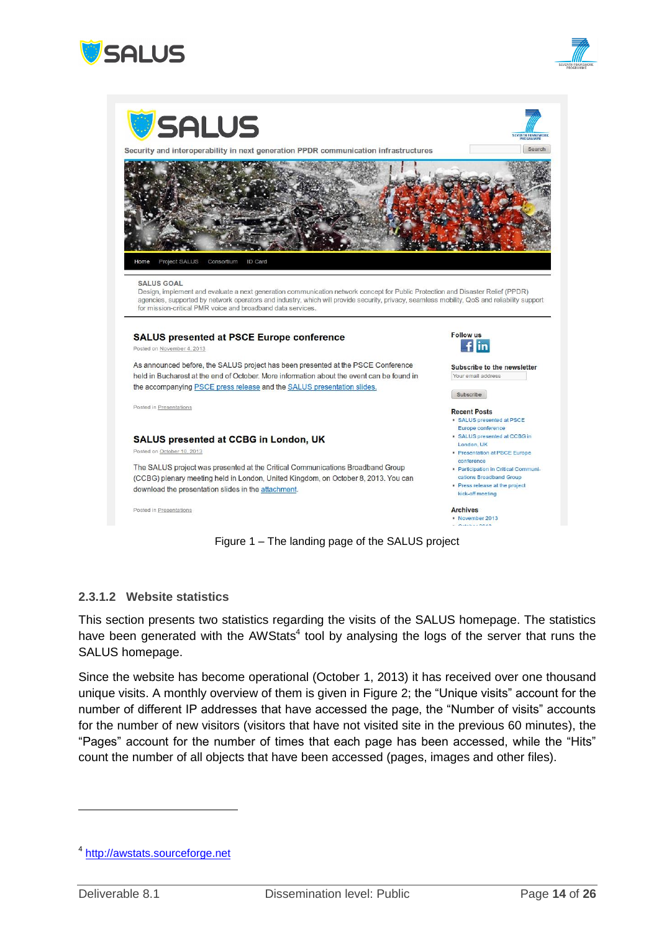



#### <span id="page-13-0"></span>**2.3.1.2 Website statistics**

This section presents two statistics regarding the visits of the SALUS homepage. The statistics have been generated with the AWStats<sup>4</sup> tool by analysing the logs of the server that runs the SALUS homepage.

Since the website has become operational (October 1, 2013) it has received over one thousand unique visits. A monthly overview of them is given in [Figure 2;](#page-14-0) the "Unique visits" account for the number of different IP addresses that have accessed the page, the "Number of visits" accounts for the number of new visitors (visitors that have not visited site in the previous 60 minutes), the "Pages" account for the number of times that each page has been accessed, while the "Hits" count the number of all objects that have been accessed (pages, images and other files).

 $\overline{a}$ 

<sup>&</sup>lt;sup>4</sup> http://awstats.sourceforge.net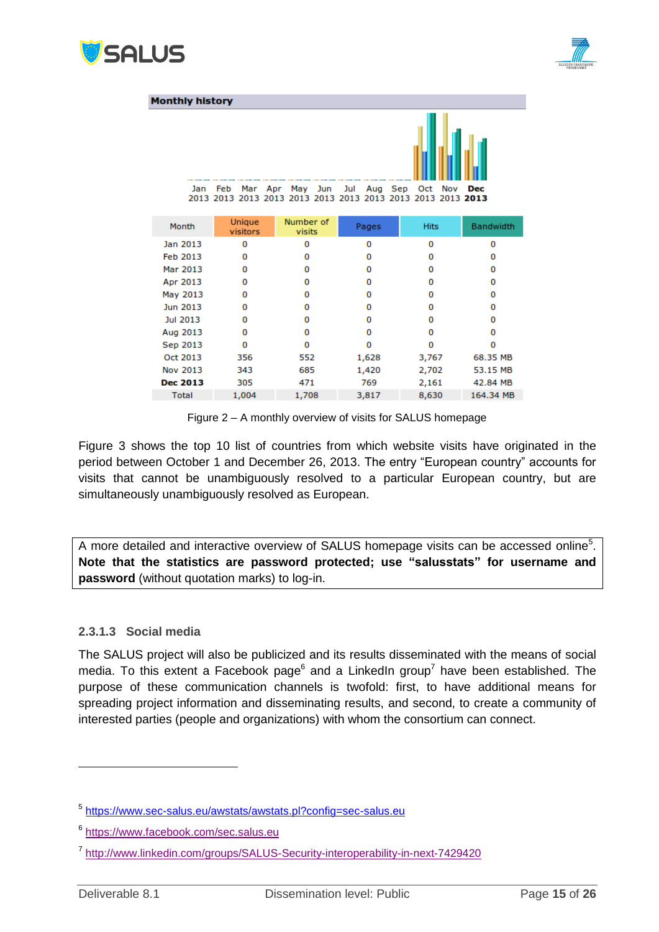





| Month    | Unique<br>visitors | Number of<br>visits | Pages | <b>Hits</b> | <b>Bandwidth</b> |
|----------|--------------------|---------------------|-------|-------------|------------------|
| Jan 2013 | 0                  | 0                   | 0     | 0           | 0                |
| Feb 2013 | 0                  | 0                   | 0     | o           | 0                |
| Mar 2013 | o                  | 0                   | o     | o           | 0                |
| Apr 2013 | 0                  | 0                   | 0     | 0           | 0                |
| May 2013 | 0                  | 0                   | o     | o           | 0                |
| Jun 2013 | 0                  | 0                   | 0     | 0           | о                |
| Jul 2013 | 0                  | 0                   | o     | 0           | 0                |
| Aug 2013 | 0                  | 0                   | 0     | 0           | 0                |
| Sep 2013 | o                  | 0                   | o     | o           | o                |
| Oct 2013 | 356                | 552                 | 1,628 | 3,767       | 68.35 MB         |
| Nov 2013 | 343                | 685                 | 1,420 | 2,702       | 53.15 MB         |
| Dec 2013 | 305                | 471                 | 769   | 2,161       | 42.84 MB         |
| Total    | 1,004              | 1,708               | 3,817 | 8,630       | 164.34 MB        |

Figure 2 – A monthly overview of visits for SALUS homepage

<span id="page-14-0"></span>[Figure 3](#page-15-1) shows the top 10 list of countries from which website visits have originated in the period between October 1 and December 26, 2013. The entry "European country" accounts for visits that cannot be unambiguously resolved to a particular European country, but are simultaneously unambiguously resolved as European.

A more detailed and interactive overview of SALUS homepage visits can be accessed online<sup>5</sup>. **Note that the statistics are password protected; use "salusstats" for username and password** (without quotation marks) to log-in.

#### **2.3.1.3 Social media**

The SALUS project will also be publicized and its results disseminated with the means of social media. To this extent a Facebook page<sup>6</sup> and a LinkedIn group<sup>7</sup> have been established. The purpose of these communication channels is twofold: first, to have additional means for spreading project information and disseminating results, and second, to create a community of interested parties (people and organizations) with whom the consortium can connect.

 $\overline{a}$ 

<sup>&</sup>lt;sup>5</sup> <https://www.sec-salus.eu/awstats/awstats.pl?config=sec-salus.eu>

<sup>6</sup> <https://www.facebook.com/sec.salus.eu>

<sup>&</sup>lt;sup>7</sup> <http://www.linkedin.com/groups/SALUS-Security-interoperability-in-next-7429420>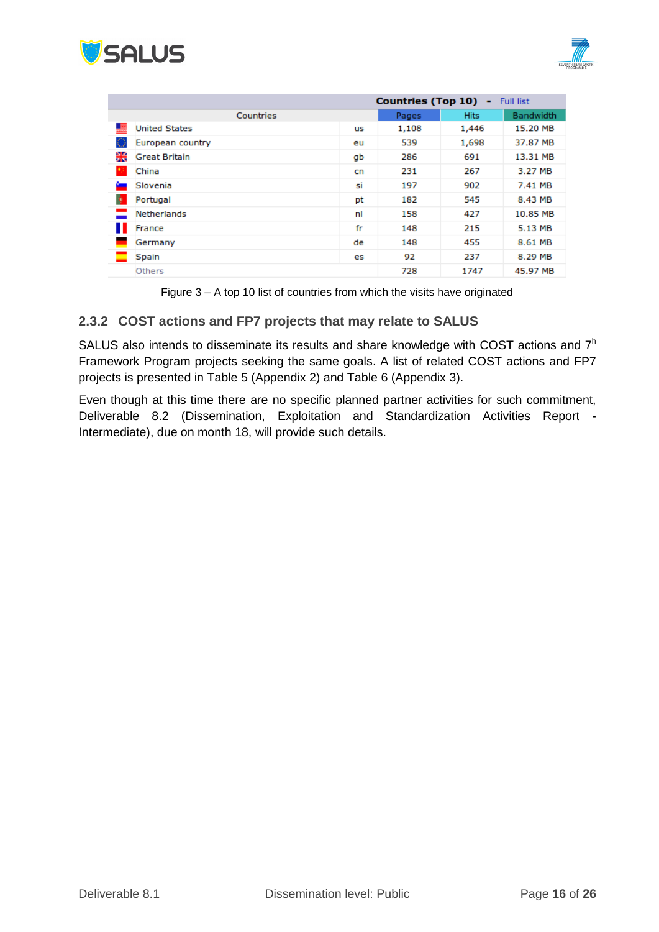

| Countries (Top 10)<br><b>Full list</b><br>۰ |                      |    |       |             |                  |
|---------------------------------------------|----------------------|----|-------|-------------|------------------|
|                                             | Countries            |    | Pages | <b>Hits</b> | <b>Bandwidth</b> |
| 矗                                           | <b>United States</b> | us | 1,108 | 1,446       | 15.20 MB         |
|                                             | European country     | eu | 539   | 1,698       | 37.87 MB         |
| 꽃                                           | <b>Great Britain</b> | qb | 286   | 691         | 13.31 MB         |
|                                             | China                | cn | 231   | 267         | 3.27 MB          |
|                                             | Slovenia             | si | 197   | 902         | 7.41 MB          |
| ÷                                           | Portugal             | pt | 182   | 545         | 8.43 MB          |
|                                             | Netherlands          | nl | 158   | 427         | 10.85 MB         |
| Ш                                           | France               | fr | 148   | 215         | 5.13 MB          |
|                                             | Germany              | de | 148   | 455         | 8.61 MB          |
|                                             | <b>Spain</b>         | es | 92    | 237         | 8.29 MB          |
|                                             | Others               |    | 728   | 1747        | 45.97 MB         |

Figure 3 – A top 10 list of countries from which the visits have originated

#### <span id="page-15-1"></span><span id="page-15-0"></span>**2.3.2 COST actions and FP7 projects that may relate to SALUS**

SALUS also intends to disseminate its results and share knowledge with COST actions and  $7<sup>h</sup>$ Framework Program projects seeking the same goals. A list of related COST actions and FP7 projects is presented in [Table 5](#page-23-1) (Appendix 2) and [Table 6](#page-24-1) (Appendix 3).

Even though at this time there are no specific planned partner activities for such commitment, Deliverable 8.2 (Dissemination, Exploitation and Standardization Activities Report - Intermediate), due on month 18, will provide such details.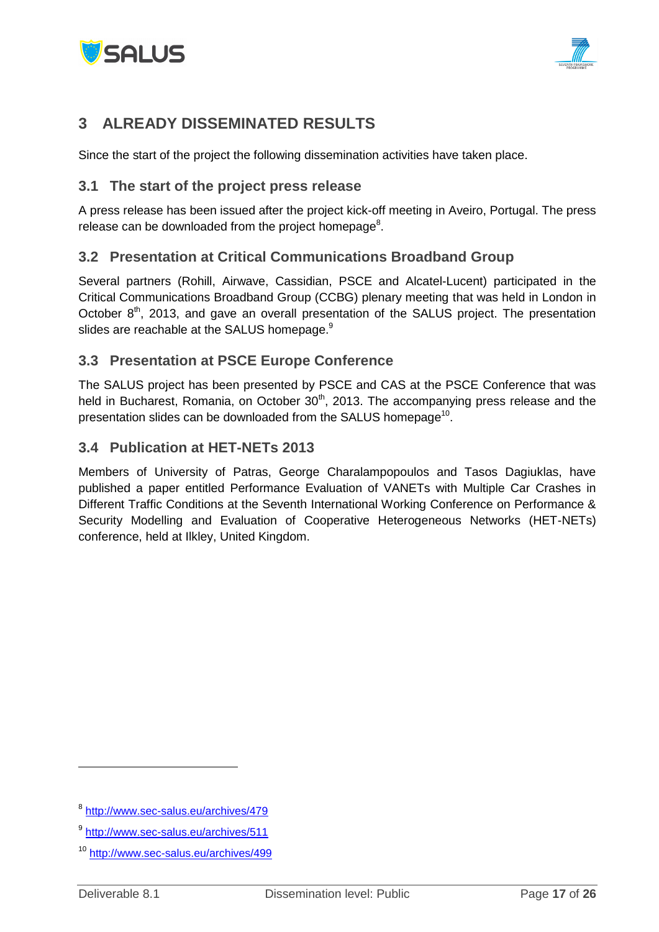



### <span id="page-16-0"></span>**3 ALREADY DISSEMINATED RESULTS**

Since the start of the project the following dissemination activities have taken place.

#### <span id="page-16-1"></span>**3.1 The start of the project press release**

A press release has been issued after the project kick-off meeting in Aveiro, Portugal. The press release can be downloaded from the project homepage<sup>8</sup>.

#### <span id="page-16-2"></span>**3.2 Presentation at Critical Communications Broadband Group**

Several partners (Rohill, Airwave, Cassidian, PSCE and Alcatel-Lucent) participated in the Critical Communications Broadband Group (CCBG) plenary meeting that was held in London in October  $8<sup>th</sup>$ , 2013, and gave an overall presentation of the SALUS project. The presentation slides are reachable at the SALUS homepage.<sup>9</sup>

#### <span id="page-16-3"></span>**3.3 Presentation at PSCE Europe Conference**

The SALUS project has been presented by PSCE and CAS at the PSCE Conference that was held in Bucharest, Romania, on October  $30<sup>th</sup>$ , 2013. The accompanying press release and the presentation slides can be downloaded from the SALUS homepage<sup>10</sup>.

#### <span id="page-16-4"></span>**3.4 Publication at HET-NETs 2013**

Members of University of Patras, George Charalampopoulos and Tasos Dagiuklas, have published a paper entitled Performance Evaluation of VANETs with Multiple Car Crashes in Different Traffic Conditions at the Seventh International Working Conference on Performance & Security Modelling and Evaluation of Cooperative Heterogeneous Networks (HET-NETs) conference, held at Ilkley, United Kingdom.

 $\overline{a}$ 

<sup>&</sup>lt;sup>8</sup><http://www.sec-salus.eu/archives/479>

<sup>&</sup>lt;sup>9</sup><http://www.sec-salus.eu/archives/511>

<sup>10</sup> <http://www.sec-salus.eu/archives/499>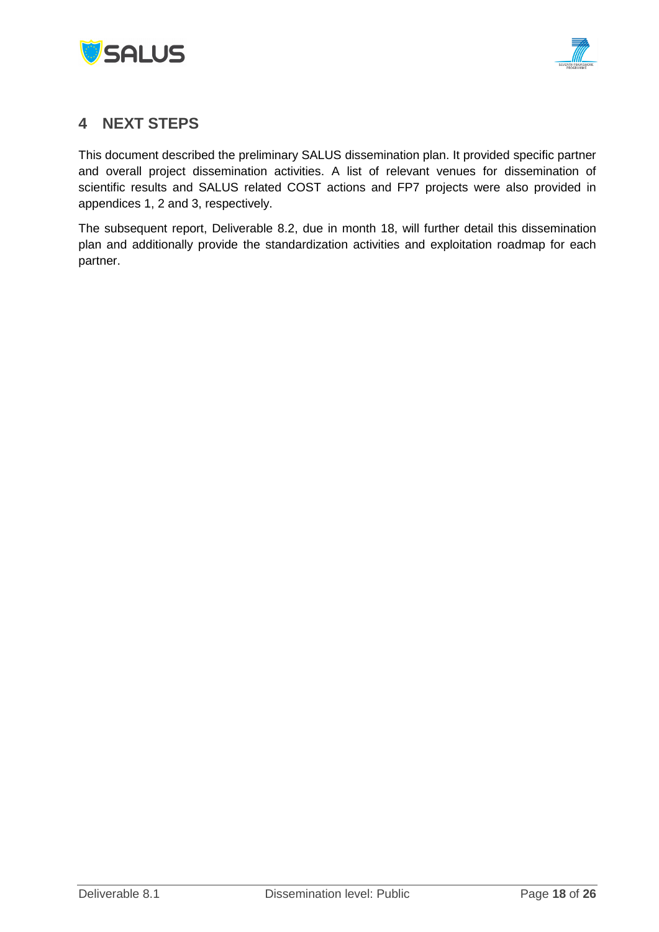



### <span id="page-17-0"></span>**4 NEXT STEPS**

This document described the preliminary SALUS dissemination plan. It provided specific partner and overall project dissemination activities. A list of relevant venues for dissemination of scientific results and SALUS related COST actions and FP7 projects were also provided in appendices 1, 2 and 3, respectively.

The subsequent report, Deliverable 8.2, due in month 18, will further detail this dissemination plan and additionally provide the standardization activities and exploitation roadmap for each partner.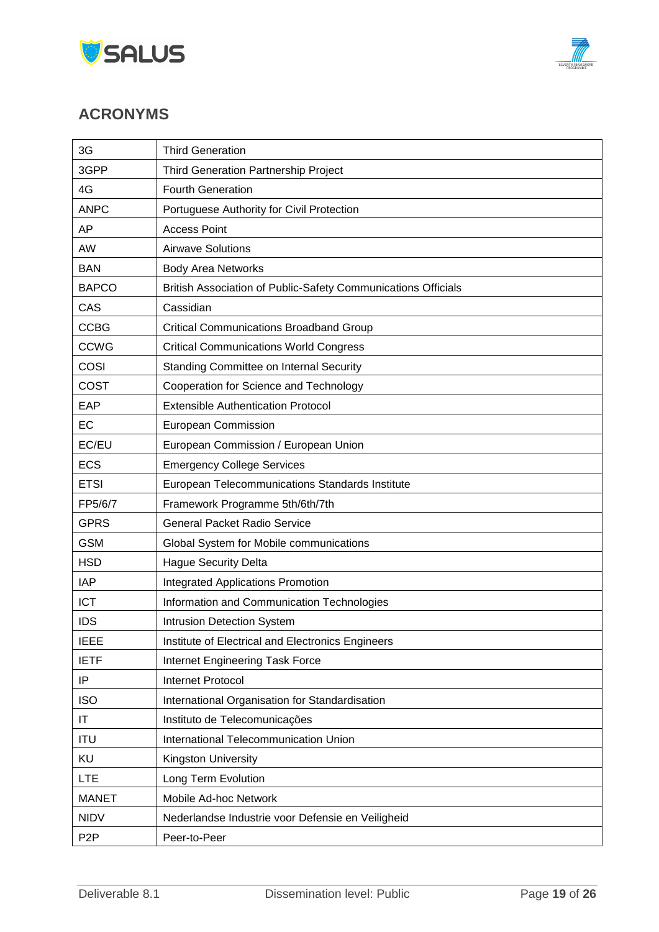



### <span id="page-18-0"></span>**ACRONYMS**

| 3G           | <b>Third Generation</b>                                       |
|--------------|---------------------------------------------------------------|
| 3GPP         | Third Generation Partnership Project                          |
| 4G           | <b>Fourth Generation</b>                                      |
| <b>ANPC</b>  | Portuguese Authority for Civil Protection                     |
| ΑP           | <b>Access Point</b>                                           |
| AW           | <b>Airwave Solutions</b>                                      |
| <b>BAN</b>   | <b>Body Area Networks</b>                                     |
| <b>BAPCO</b> | British Association of Public-Safety Communications Officials |
| CAS          | Cassidian                                                     |
| <b>CCBG</b>  | <b>Critical Communications Broadband Group</b>                |
| <b>CCWG</b>  | <b>Critical Communications World Congress</b>                 |
| COSI         | Standing Committee on Internal Security                       |
| COST         | Cooperation for Science and Technology                        |
| EAP          | <b>Extensible Authentication Protocol</b>                     |
| EC           | European Commission                                           |
| EC/EU        | European Commission / European Union                          |
| <b>ECS</b>   | <b>Emergency College Services</b>                             |
| <b>ETSI</b>  | European Telecommunications Standards Institute               |
| FP5/6/7      | Framework Programme 5th/6th/7th                               |
|              |                                                               |
| <b>GPRS</b>  | <b>General Packet Radio Service</b>                           |
| <b>GSM</b>   | Global System for Mobile communications                       |
| <b>HSD</b>   | <b>Hague Security Delta</b>                                   |
| <b>IAP</b>   | <b>Integrated Applications Promotion</b>                      |
| <b>ICT</b>   | Information and Communication Technologies                    |
| <b>IDS</b>   | Intrusion Detection System                                    |
| <b>IEEE</b>  | Institute of Electrical and Electronics Engineers             |
| <b>IETF</b>  | Internet Engineering Task Force                               |
| IP           | <b>Internet Protocol</b>                                      |
| <b>ISO</b>   | International Organisation for Standardisation                |
| IT           | Instituto de Telecomunicações                                 |
| <b>ITU</b>   | International Telecommunication Union                         |
| KU           | Kingston University                                           |
| <b>LTE</b>   | Long Term Evolution                                           |
| <b>MANET</b> | Mobile Ad-hoc Network                                         |
| <b>NIDV</b>  | Nederlandse Industrie voor Defensie en Veiligheid             |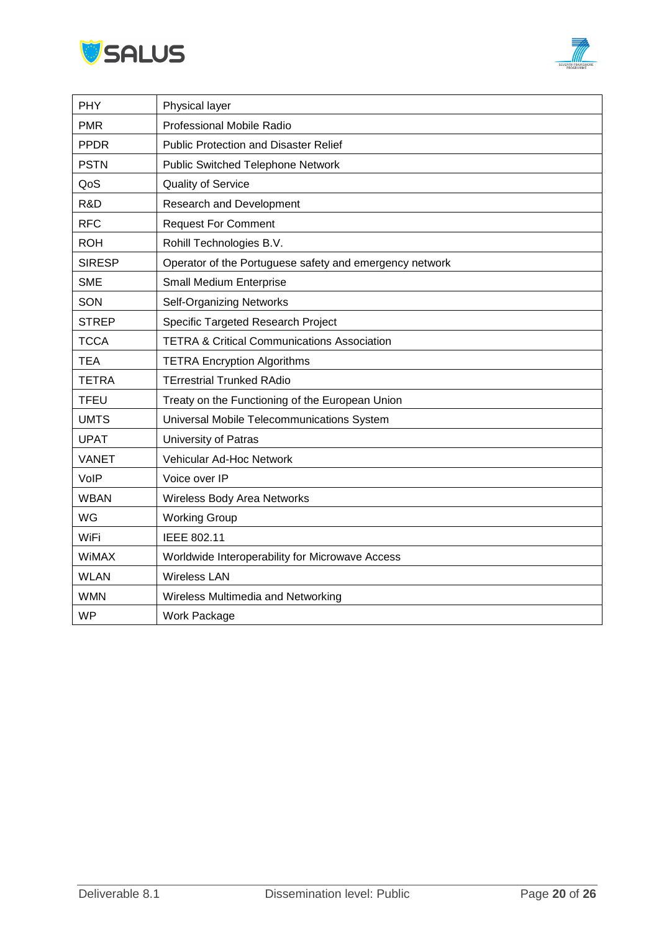



| <b>PHY</b>    | Physical layer                                          |
|---------------|---------------------------------------------------------|
| <b>PMR</b>    | <b>Professional Mobile Radio</b>                        |
| <b>PPDR</b>   | <b>Public Protection and Disaster Relief</b>            |
| <b>PSTN</b>   | <b>Public Switched Telephone Network</b>                |
| QoS           | <b>Quality of Service</b>                               |
| R&D           | Research and Development                                |
| <b>RFC</b>    | <b>Request For Comment</b>                              |
| <b>ROH</b>    | Rohill Technologies B.V.                                |
| <b>SIRESP</b> | Operator of the Portuguese safety and emergency network |
| <b>SME</b>    | <b>Small Medium Enterprise</b>                          |
| SON           | <b>Self-Organizing Networks</b>                         |
| <b>STREP</b>  | Specific Targeted Research Project                      |
| <b>TCCA</b>   | <b>TETRA &amp; Critical Communications Association</b>  |
| <b>TEA</b>    | <b>TETRA Encryption Algorithms</b>                      |
| <b>TETRA</b>  | <b>TErrestrial Trunked RAdio</b>                        |
| <b>TFEU</b>   | Treaty on the Functioning of the European Union         |
| <b>UMTS</b>   | Universal Mobile Telecommunications System              |
| <b>UPAT</b>   | University of Patras                                    |
| <b>VANET</b>  | Vehicular Ad-Hoc Network                                |
| VolP          | Voice over IP                                           |
| <b>WBAN</b>   | Wireless Body Area Networks                             |
| WG            | <b>Working Group</b>                                    |
| WiFi          | IEEE 802.11                                             |
| <b>WiMAX</b>  | Worldwide Interoperability for Microwave Access         |
| <b>WLAN</b>   | <b>Wireless LAN</b>                                     |
| <b>WMN</b>    | Wireless Multimedia and Networking                      |
| <b>WP</b>     | Work Package                                            |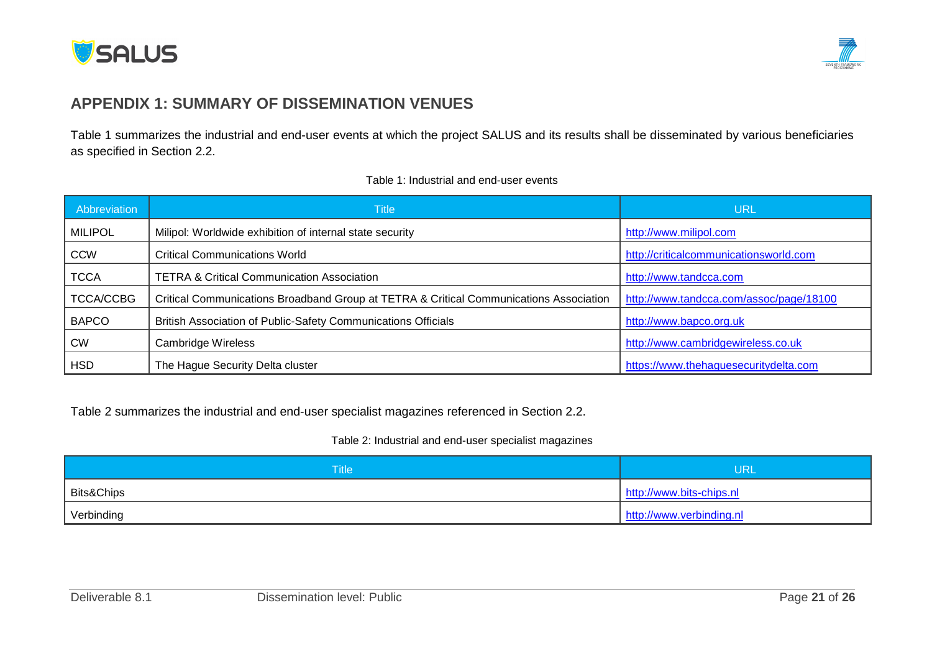



### **APPENDIX 1: SUMMARY OF DISSEMINATION VENUES**

[Table 1](#page-20-1) summarizes the industrial and end-user events at which the project SALUS and its results shall be disseminated by various beneficiaries as specified in Section [2.2.](#page-7-4)

| Table 1: Industrial and end-user events |  |  |  |
|-----------------------------------------|--|--|--|
|-----------------------------------------|--|--|--|

<span id="page-20-1"></span>

| Abbreviation     | <b>Title</b>                                                                           | URL                                     |
|------------------|----------------------------------------------------------------------------------------|-----------------------------------------|
| <b>MILIPOL</b>   | Milipol: Worldwide exhibition of internal state security                               | http://www.milipol.com                  |
| <b>CCW</b>       | <b>Critical Communications World</b>                                                   | http://criticalcommunicationsworld.com  |
| <b>TCCA</b>      | <b>TETRA &amp; Critical Communication Association</b>                                  | http://www.tandcca.com                  |
| <b>TCCA/CCBG</b> | Critical Communications Broadband Group at TETRA & Critical Communications Association | http://www.tandcca.com/assoc/page/18100 |
| <b>BAPCO</b>     | British Association of Public-Safety Communications Officials                          | http://www.bapco.org.uk                 |
| <b>CW</b>        | Cambridge Wireless                                                                     | http://www.cambridgewireless.co.uk      |
| <b>HSD</b>       | The Hague Security Delta cluster                                                       | https://www.thehaguesecuritydelta.com   |

<span id="page-20-2"></span><span id="page-20-0"></span>[Table 2](#page-20-2) summarizes the industrial and end-user specialist magazines referenced in Section [2.2.](#page-7-4)

#### Table 2: Industrial and end-user specialist magazines

| Title                   | URL                      |
|-------------------------|--------------------------|
| <sup>Ⅰ</sup> Bits&Chips | http://www.bits-chips.nl |
| <sup>1</sup> Verbinding | http://www.verbinding.nl |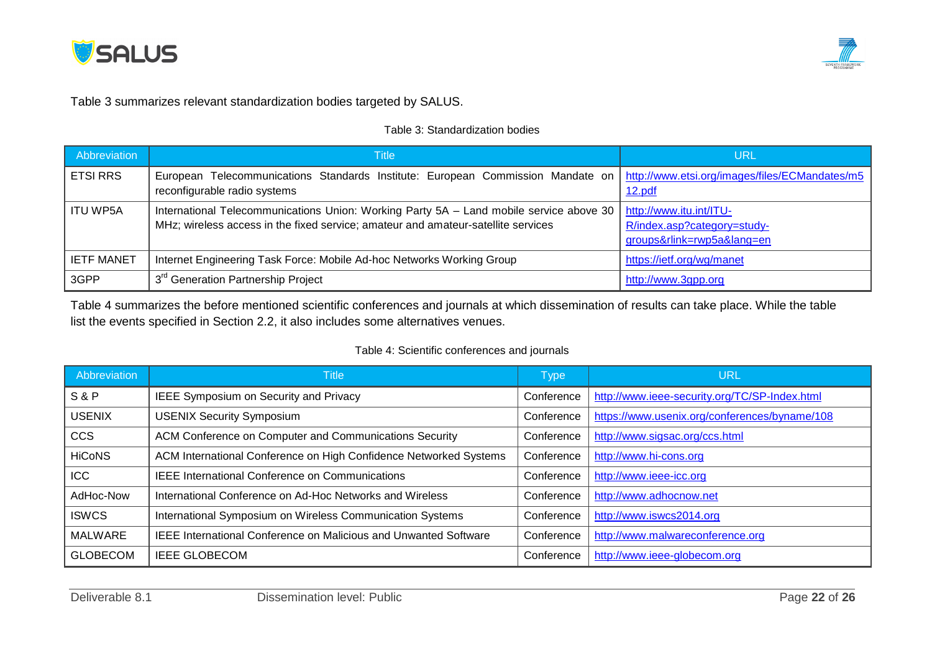



#### <span id="page-21-0"></span>[Table 3](#page-21-0) summarizes relevant standardization bodies targeted by SALUS.

#### Table 3: Standardization bodies

| Abbreviation      | <b>Title</b>                                                                                                                                                                 | URL                                                                              |
|-------------------|------------------------------------------------------------------------------------------------------------------------------------------------------------------------------|----------------------------------------------------------------------------------|
| <b>ETSI RRS</b>   | European Telecommunications Standards Institute: European Commission Mandate on http://www.etsi.org/images/files/ECMandates/m5<br>reconfigurable radio systems               | 12.pdf                                                                           |
| <b>ITU WP5A</b>   | International Telecommunications Union: Working Party 5A - Land mobile service above 30<br>MHz; wireless access in the fixed service; amateur and amateur-satellite services | http://www.itu.int/ITU-<br>R/index.asp?category=study-<br>groups&rlink=rwp5a⟨=en |
| <b>IETF MANET</b> | Internet Engineering Task Force: Mobile Ad-hoc Networks Working Group                                                                                                        | https://ietf.org/wg/manet                                                        |
| 3GPP              | 3 <sup>rd</sup> Generation Partnership Project                                                                                                                               | http://www.3gpp.org                                                              |

<span id="page-21-1"></span>[Table 4](#page-21-1) summarizes the before mentioned scientific conferences and journals at which dissemination of results can take place. While the table list the events specified in Section [2.2,](#page-7-4) it also includes some alternatives venues.

#### Table 4: Scientific conferences and journals

| Abbreviation    | <b>Title</b>                                                            | <b>Type</b> | <b>URL</b>                                    |
|-----------------|-------------------------------------------------------------------------|-------------|-----------------------------------------------|
| S&P             | IEEE Symposium on Security and Privacy                                  | Conference  | http://www.ieee-security.org/TC/SP-Index.html |
| <b>USENIX</b>   | <b>USENIX Security Symposium</b>                                        | Conference  | https://www.usenix.org/conferences/byname/108 |
| <b>CCS</b>      | ACM Conference on Computer and Communications Security                  | Conference  | http://www.sigsac.org/ccs.html                |
| <b>HiCoNS</b>   | ACM International Conference on High Confidence Networked Systems       | Conference  | http://www.hi-cons.org                        |
| <b>ICC</b>      | <b>IEEE International Conference on Communications</b>                  | Conference  | http://www.ieee-icc.org                       |
| AdHoc-Now       | International Conference on Ad-Hoc Networks and Wireless                | Conference  | http://www.adhocnow.net                       |
| <b>ISWCS</b>    | International Symposium on Wireless Communication Systems               | Conference  | http://www.iswcs2014.org                      |
| <b>MALWARE</b>  | <b>IEEE International Conference on Malicious and Unwanted Software</b> | Conference  | http://www.malwareconference.org              |
| <b>GLOBECOM</b> | <b>IEEE GLOBECOM</b>                                                    | Conference  | http://www.ieee-globecom.org                  |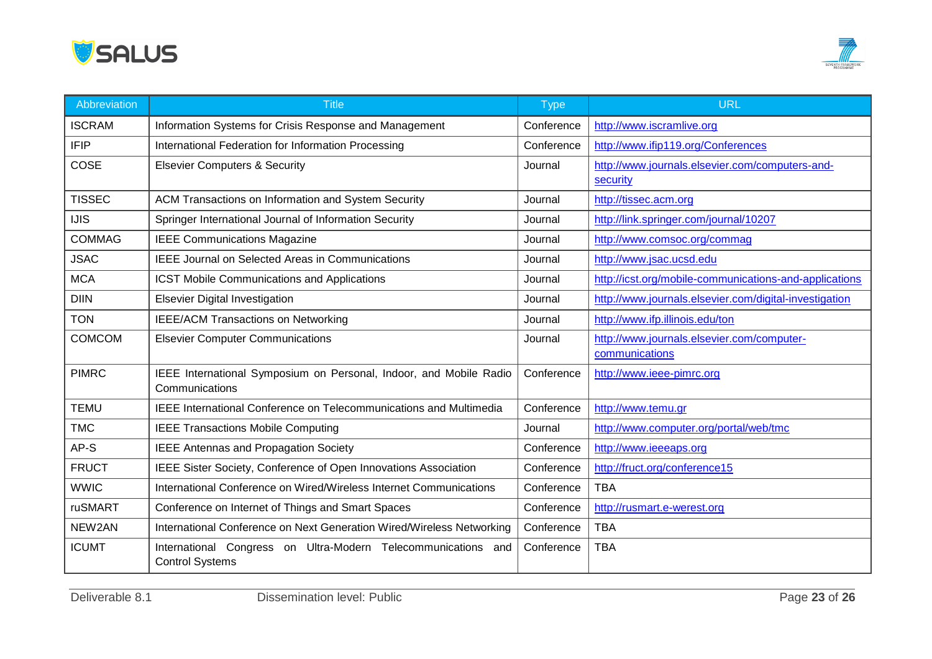



| Abbreviation  | <b>Title</b>                                                                            | <b>Type</b> | <b>URL</b>                                                   |  |
|---------------|-----------------------------------------------------------------------------------------|-------------|--------------------------------------------------------------|--|
| <b>ISCRAM</b> | Information Systems for Crisis Response and Management                                  | Conference  | http://www.iscramlive.org                                    |  |
| <b>IFIP</b>   | International Federation for Information Processing                                     | Conference  | http://www.ifip119.org/Conferences                           |  |
| COSE          | <b>Elsevier Computers &amp; Security</b>                                                | Journal     | http://www.journals.elsevier.com/computers-and-<br>security  |  |
| <b>TISSEC</b> | ACM Transactions on Information and System Security                                     | Journal     | http://tissec.acm.org                                        |  |
| <b>IJIS</b>   | Springer International Journal of Information Security                                  | Journal     | http://link.springer.com/journal/10207                       |  |
| <b>COMMAG</b> | <b>IEEE Communications Magazine</b>                                                     | Journal     | http://www.comsoc.org/commag                                 |  |
| <b>JSAC</b>   | <b>IEEE Journal on Selected Areas in Communications</b>                                 | Journal     | http://www.jsac.ucsd.edu                                     |  |
| <b>MCA</b>    | <b>ICST Mobile Communications and Applications</b>                                      | Journal     | http://icst.org/mobile-communications-and-applications       |  |
| <b>DIIN</b>   | <b>Elsevier Digital Investigation</b>                                                   | Journal     | http://www.journals.elsevier.com/digital-investigation       |  |
| <b>TON</b>    | <b>IEEE/ACM Transactions on Networking</b>                                              | Journal     | http://www.ifp.illinois.edu/ton                              |  |
| <b>COMCOM</b> | <b>Elsevier Computer Communications</b>                                                 | Journal     | http://www.journals.elsevier.com/computer-<br>communications |  |
| <b>PIMRC</b>  | IEEE International Symposium on Personal, Indoor, and Mobile Radio<br>Communications    | Conference  | http://www.ieee-pimrc.org                                    |  |
| <b>TEMU</b>   | <b>IEEE International Conference on Telecommunications and Multimedia</b>               | Conference  | http://www.temu.gr                                           |  |
| <b>TMC</b>    | <b>IEEE Transactions Mobile Computing</b>                                               | Journal     | http://www.computer.org/portal/web/tmc                       |  |
| AP-S          | <b>IEEE Antennas and Propagation Society</b>                                            | Conference  | http://www.ieeeaps.org                                       |  |
| <b>FRUCT</b>  | IEEE Sister Society, Conference of Open Innovations Association                         | Conference  | http://fruct.org/conference15                                |  |
| <b>WWIC</b>   | International Conference on Wired/Wireless Internet Communications                      | Conference  | <b>TBA</b>                                                   |  |
| ruSMART       | Conference on Internet of Things and Smart Spaces                                       | Conference  | http://rusmart.e-werest.org                                  |  |
| NEW2AN        | International Conference on Next Generation Wired/Wireless Networking                   | Conference  | <b>TBA</b>                                                   |  |
| <b>ICUMT</b>  | International Congress on Ultra-Modern Telecommunications and<br><b>Control Systems</b> | Conference  | <b>TBA</b>                                                   |  |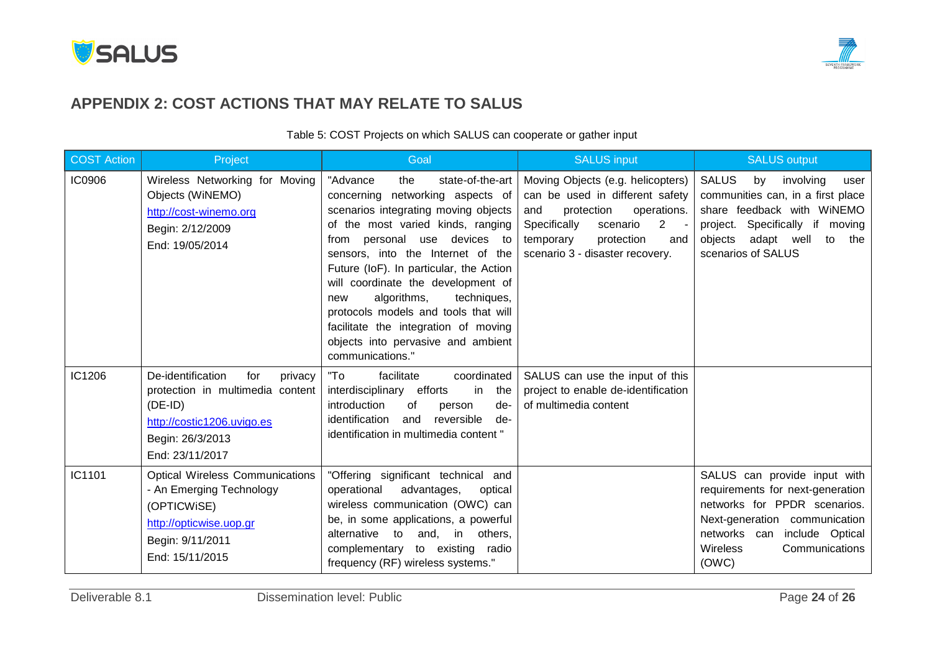



### **APPENDIX 2: COST ACTIONS THAT MAY RELATE TO SALUS**

#### <span id="page-23-1"></span><span id="page-23-0"></span>COST Action Project Project COST Action SALUS input SALUS input SALUS output SALUS output SALUS output SALUS output IC0906 Wireless Networking for Moving Objects (WiNEMO) [http://cost-winemo.org](http://cost-winemo.org/) Begin: 2/12/2009 End: 19/05/2014 "Advance the state-of-the-art concerning networking aspects of scenarios integrating moving objects of the most varied kinds, ranging from personal use devices to sensors, into the Internet of the Future (IoF). In particular, the Action will coordinate the development of new algorithms, techniques, protocols models and tools that will facilitate the integration of moving objects into pervasive and ambient communications." Moving Objects (e.g. helicopters) can be used in different safety and protection operations. Specifically scenario 2 temporary protection and scenario 3 - disaster recovery. SALUS by involving user communities can, in a first place share feedback with WiNEMO project. Specifically if moving objects adapt well to the scenarios of SALUS IC1206 De-identification for privacy protection in multimedia content (DE-ID) [http://costic1206.uvigo.es](http://costic1206.uvigo.es/) Begin: 26/3/2013 End: 23/11/2017 "To facilitate coordinated interdisciplinary efforts in the introduction of person deidentification and reversible deidentification in multimedia content " SALUS can use the input of this project to enable de-identification of multimedia content IC1101 Optical Wireless Communications - An Emerging Technology (OPTICWiSE) [http://opticwise.uop.gr](http://opticwise.uop.gr/) Begin: 9/11/2011 End: 15/11/2015 "Offering significant technical and operational advantages, optical wireless communication (OWC) can be, in some applications, a powerful alternative to and, in others, complementary to existing radio frequency (RF) wireless systems." SALUS can provide input with requirements for next-generation networks for PPDR scenarios. Next-generation communication networks can include Optical Wireless Communications (OWC)

Table 5: COST Projects on which SALUS can cooperate or gather input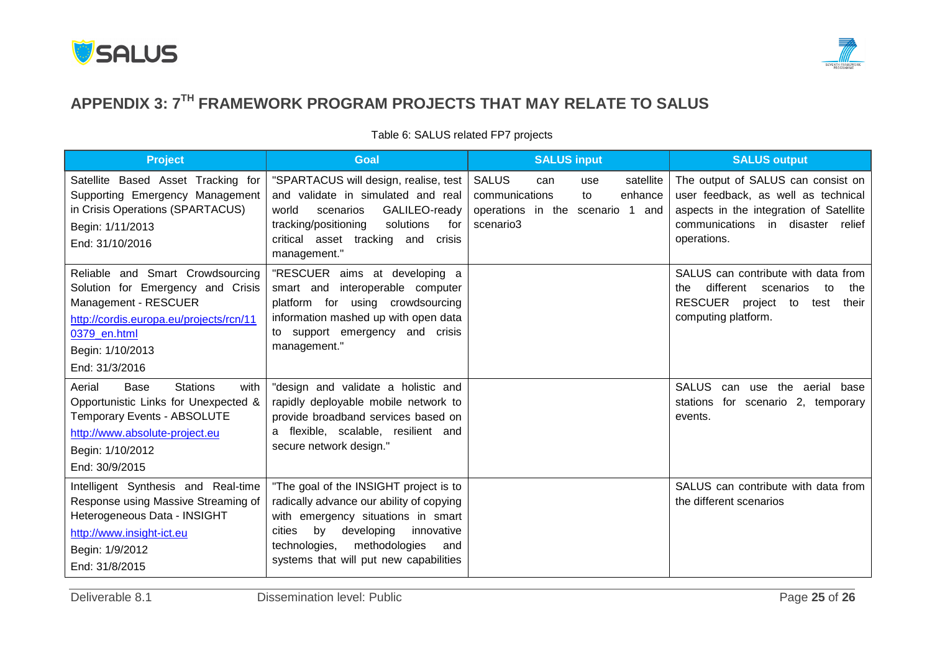



# **APPENDIX 3: 7TH FRAMEWORK PROGRAM PROJECTS THAT MAY RELATE TO SALUS**

<span id="page-24-0"></span>

| <b>Project</b>                                                                                                                                                                                  | <b>Goal</b>                                                                                                                                                                                                                                             | <b>SALUS input</b>                                                                                                                | <b>SALUS output</b>                                                                                                                                                         |
|-------------------------------------------------------------------------------------------------------------------------------------------------------------------------------------------------|---------------------------------------------------------------------------------------------------------------------------------------------------------------------------------------------------------------------------------------------------------|-----------------------------------------------------------------------------------------------------------------------------------|-----------------------------------------------------------------------------------------------------------------------------------------------------------------------------|
| Satellite Based Asset Tracking for<br>Supporting Emergency Management<br>in Crisis Operations (SPARTACUS)<br>Begin: 1/11/2013<br>End: 31/10/2016                                                | "SPARTACUS will design, realise, test<br>and validate in simulated and real<br>GALILEO-ready<br>world<br>scenarios<br>tracking/positioning<br>solutions<br>for<br>critical asset tracking and<br>crisis<br>management."                                 | <b>SALUS</b><br>satellite<br>can<br>use<br>communications<br>enhance<br>to<br>operations in the<br>1 and<br>scenario<br>scenario3 | The output of SALUS can consist on<br>user feedback, as well as technical<br>aspects in the integration of Satellite<br>communications<br>in disaster relief<br>operations. |
| Reliable and Smart Crowdsourcing<br>Solution for Emergency and Crisis<br>Management - RESCUER<br>http://cordis.europa.eu/projects/rcn/11<br>0379 en.html<br>Begin: 1/10/2013<br>End: 31/3/2016  | "RESCUER aims at developing a<br>interoperable computer<br>smart and<br>platform for using crowdsourcing<br>information mashed up with open data<br>to support emergency and crisis<br>management."                                                     |                                                                                                                                   | SALUS can contribute with data from<br>different scenarios<br>the<br>the<br>to<br>RESCUER project to<br>their<br>test<br>computing platform.                                |
| Base<br><b>Stations</b><br>with<br>Aerial<br>Opportunistic Links for Unexpected &<br><b>Temporary Events - ABSOLUTE</b><br>http://www.absolute-project.eu<br>Begin: 1/10/2012<br>End: 30/9/2015 | "design and validate a holistic and<br>rapidly deployable mobile network to<br>provide broadband services based on<br>a flexible, scalable, resilient and<br>secure network design."                                                                    |                                                                                                                                   | <b>SALUS</b><br>can use the<br>aerial<br>base<br>for scenario 2, temporary<br>stations<br>events.                                                                           |
| Intelligent Synthesis and Real-time<br>Response using Massive Streaming of<br>Heterogeneous Data - INSIGHT<br>http://www.insight-ict.eu<br>Begin: 1/9/2012<br>End: 31/8/2015                    | "The goal of the INSIGHT project is to<br>radically advance our ability of copying<br>with emergency situations in smart<br>by<br>developing<br>cities<br>innovative<br>methodologies<br>technologies,<br>and<br>systems that will put new capabilities |                                                                                                                                   | SALUS can contribute with data from<br>the different scenarios                                                                                                              |

#### Table 6: SALUS related FP7 projects

<span id="page-24-1"></span>